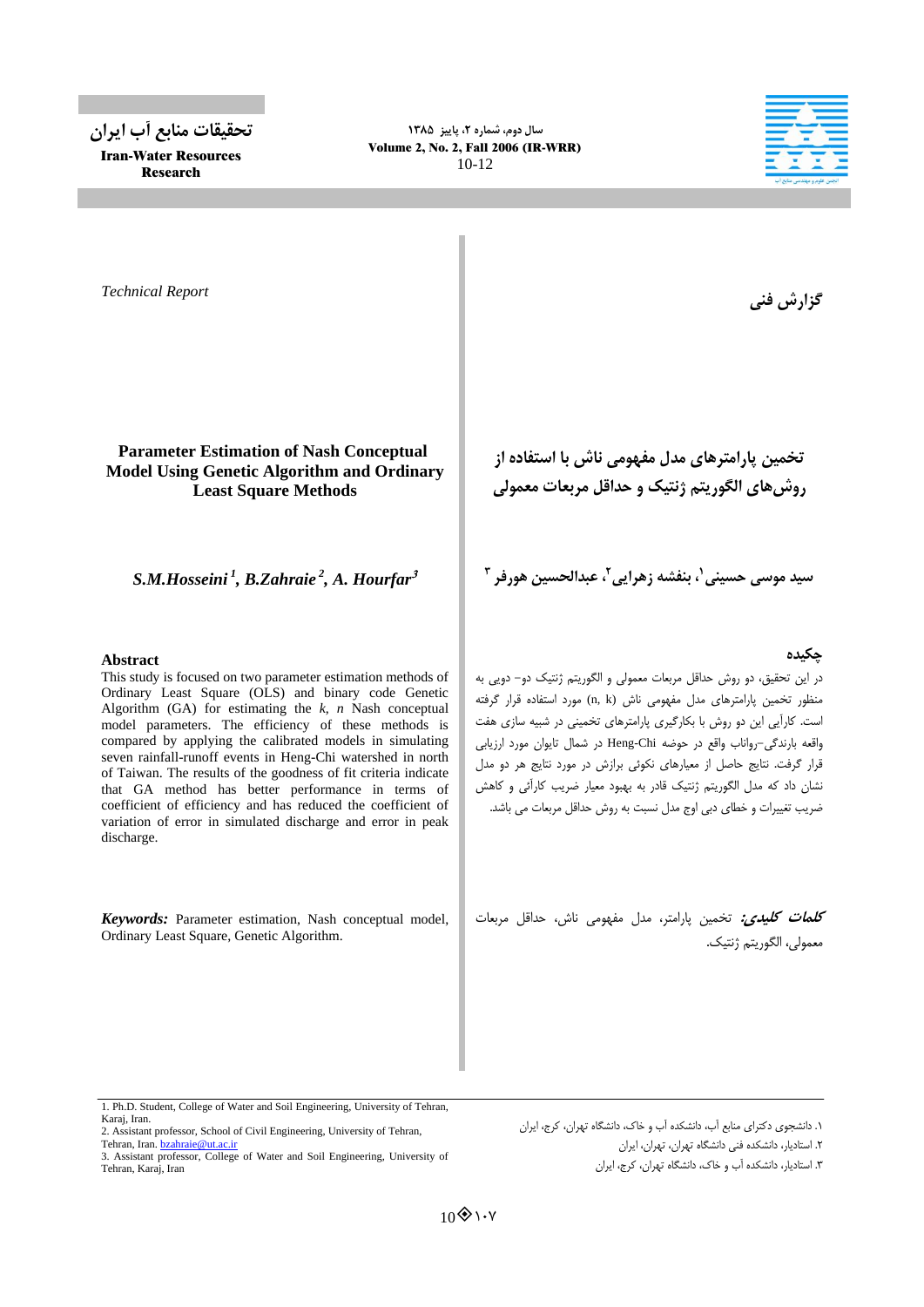**تحقيقات هٌابع آب ايراى** Iran-Water Resources Research

**سال دٍم، شوارُ ،2 پاييس 1331** Volume 2, No. 2, Fall 2006 (IR-WRR) 10-12



*Technical Report*

# **Parameter Estimation of Nash Conceptual Model Using Genetic Algorithm and Ordinary Least Square Methods**

*S.M.Hosseini <sup>1</sup> , B.Zahraie <sup>2</sup> , A. Hourfar*

## **Abstract**

This study is focused on two parameter estimation methods of Ordinary Least Square (OLS) and binary code Genetic Algorithm (GA) for estimating the *k*, *n* Nash conceptual model parameters. The efficiency of these methods is compared by applying the calibrated models in simulating seven rainfall-runoff events in Heng-Chi watershed in north of Taiwan. The results of the goodness of fit criteria indicate that GA method has better performance in terms of coefficient of efficiency and has reduced the coefficient of variation of error in simulated discharge and error in peak discharge.

*Keywords:* Parameter estimation, Nash conceptual model, Ordinary Least Square, Genetic Algorithm.

گزارش فني

**تخويي پاراهترّاي هذل هفَْهي ًاش با استفادُ از رٍشّاي الگَريتن شًتيک ٍ حذاقل هربعات هعوَلي**

سيد موسى حسينى<sup>'</sup>، بنفشه زهرايى<sup>٢</sup>، عبدالحسين هورفر <sup>٣</sup>

# **چکيذُ**

در اين تحقيق، دو روش حداقل مربعات معمولي و الگوريتم ژنتيک دو- دويي به منظور تخمين پارامترهاي مدل مفهومي ناش (n, k) مورد استفاده قرار گرفته است. كارآيي اين دو روش با بكارگيري پارامترهاي تخميني در شبيه سازي هفت واقعه بارندگي-رواناب واقع در حوضه Heng-Chi در شمال تايوان مورد ارزيابي قرار گرفت. نتايج حاصل از معيارهاي نكوئي برازش در مورد نتايج هر دو مدل نشان داد كه مدل الگوريتم ژنتيك قادر به بهبود معيار ضريب كارآئي و كاهش ضريب تغييرات و خطاي دبي اوج مدل نسبت به روش حداقل مربعات مي باشد.

<mark>ك*لمات كليدي:* تخ</mark>مين پارامتر، مدل مفهومي ناش، حداقل مربعات معمولي، الگوريتم ژنتيک.

١. دانشجوى دكتراى منابع آب، دانشكده آب و خاک، دانشگاه تهران، كرج، ايران

.<br><mark>٢.</mark> استاديار، دانشكده فني دانشگاه تهران، تهران، ايران

.<br>٣. استاديار، دانشكده آب و خاک، دانشگاه تهران، كرج، ايران

<sup>1.</sup> Ph.D. Student, College of Water and Soil Engineering, University of Tehran, Karaj, Iran.

<sup>2.</sup> Assistant professor, School of Civil Engineering, University of Tehran, Tehran, Iran. **bzahraie@ut.ac.ir** 

<sup>3.</sup> Assistant professor, College of Water and Soil Engineering, University of Tehran, Karaj, Iran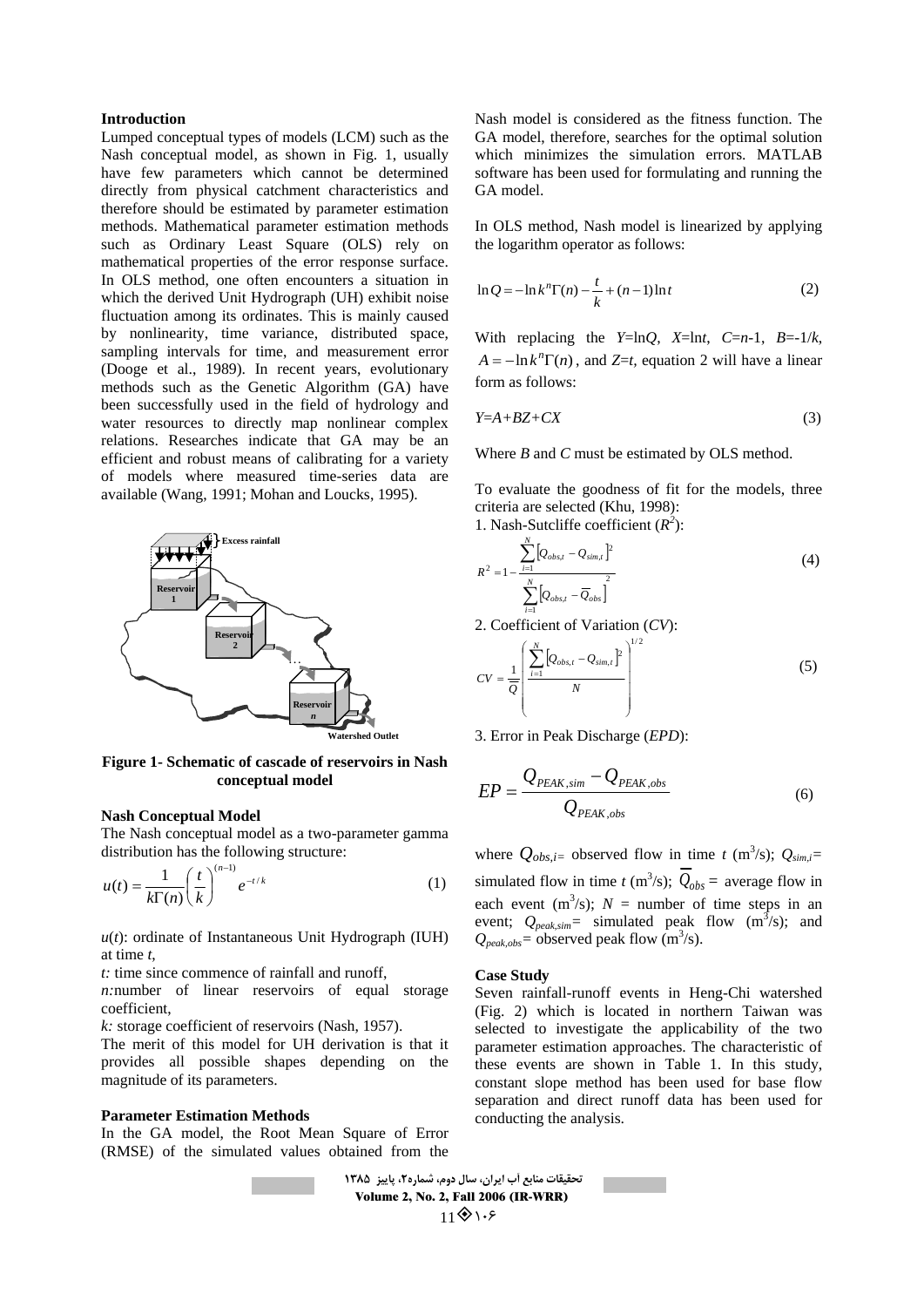## **Introduction**

Lumped conceptual types of models (LCM) such as the Nash conceptual model, as shown in Fig. 1, usually have few parameters which cannot be determined directly from physical catchment characteristics and therefore should be estimated by parameter estimation methods. Mathematical parameter estimation methods such as Ordinary Least Square (OLS) rely on mathematical properties of the error response surface. In OLS method, one often encounters a situation in which the derived Unit Hydrograph (UH) exhibit noise fluctuation among its ordinates. This is mainly caused by nonlinearity, time variance, distributed space, sampling intervals for time, and measurement error (Dooge et al., 1989). In recent years, evolutionary methods such as the Genetic Algorithm (GA) have been successfully used in the field of hydrology and water resources to directly map nonlinear complex relations. Researches indicate that GA may be an efficient and robust means of calibrating for a variety of models where measured time-series data are available (Wang, 1991; Mohan and Loucks, 1995).



**Figure 1- Schematic of cascade of reservoirs in Nash conceptual model**

## **Nash Conceptual Model**

The Nash conceptual model as a two-parameter gamma distribution has the following structure:

$$
u(t) = \frac{1}{k\Gamma(n)} \left(\frac{t}{k}\right)^{(n-1)} e^{-t/k} \tag{1}
$$

 $u(t)$ : ordinate of Instantaneous Unit Hydrograph (IUH) at time *t*,

*t:* time since commence of rainfall and runoff,

*n:*number of linear reservoirs of equal storage coefficient,

*k:* storage coefficient of reservoirs (Nash, 1957).

The merit of this model for UH derivation is that it provides all possible shapes depending on the magnitude of its parameters.

#### **Parameter Estimation Methods**

In the GA model, the Root Mean Square of Error (RMSE) of the simulated values obtained from the

Nash model is considered as the fitness function. The GA model, therefore, searches for the optimal solution which minimizes the simulation errors. MATLAB software has been used for formulating and running the GA model.

In OLS method, Nash model is linearized by applying the logarithm operator as follows:

$$
\ln Q = -\ln k^{n}\Gamma(n) - \frac{t}{k} + (n-1)\ln t
$$
 (2)

With replacing the *Y*=ln*Q*, *X*=ln*t*, *C*=*n*-1, *B*=-1/*k*,  $A = -\ln k^n \Gamma(n)$ , and *Z*=*t*, equation 2 will have a linear form as follows:

$$
Y=A+BZ+CX\tag{3}
$$

Where *B* and *C* must be estimated by OLS method.

To evaluate the goodness of fit for the models, three criteria are selected (Khu, 1998):

1. Nash-Sutcliffe coefficient  $(R^2)$ :

$$
R^{2} = 1 - \frac{\sum_{i=1}^{N} [Q_{obs,t} - Q_{sim,t}]^{2}}{\sum_{i=1}^{N} [Q_{obs,t} - \overline{Q}_{obs}]^{2}}
$$
(4)

2. Coefficient of Variation (*CV*):

$$
CV = \frac{1}{Q} \left( \frac{\sum_{i=1}^{N} [Q_{obs,t} - Q_{sim,t}]^2}{N} \right)^{1/2}
$$
 (5)

3. Error in Peak Discharge (*EPD*):

$$
EP = \frac{Q_{PEAK,sim} - Q_{PEAK,obs}}{Q_{PEAK,obs}}
$$
(6)

where  $Q_{obs,i}$  observed flow in time *t* (m<sup>3</sup>/s);  $Q_{sim,i}$ = simulated flow in time *t* (m<sup>3</sup>/s);  $Q_{obs}$  = average flow in each event  $(m^3/s)$ ;  $N =$  number of time steps in an event;  $Q_{peak,sim}$  = simulated peak flow  $(m^3/s)$ ; and  $Q_{peak,obs}$ = observed peak flow (m<sup>3</sup>/s).

#### **Case Study**

Seven rainfall-runoff events in Heng-Chi watershed (Fig. 2) which is located in northern Taiwan was selected to investigate the applicability of the two parameter estimation approaches. The characteristic of these events are shown in Table 1. In this study, constant slope method has been used for base flow separation and direct runoff data has been used for conducting the analysis.

**تحقيقات هٌابع آب ايراى، سال دٍم، شوار،2ُ پاييس 1331** Volume 2, No. 2, Fall 2006 (IR-WRR)  $1181.5$